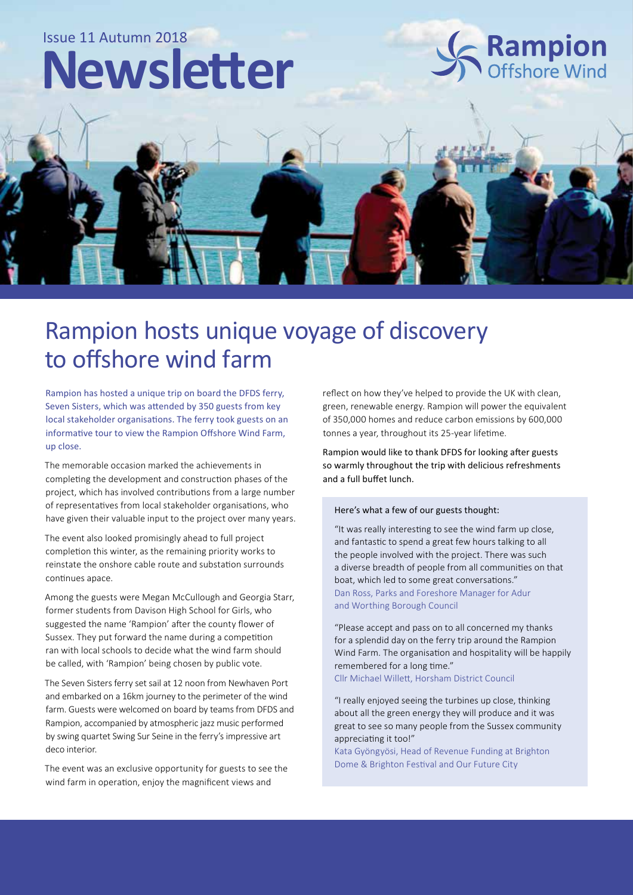## Issue 11 Autumn 2018

# **Newsletter**



# Rampion hosts unique voyage of discovery to offshore wind farm

Rampion has hosted a unique trip on board the DFDS ferry, Seven Sisters, which was attended by 350 guests from key local stakeholder organisations. The ferry took guests on an informative tour to view the Rampion Offshore Wind Farm, up close.

The memorable occasion marked the achievements in completing the development and construction phases of the project, which has involved contributions from a large number of representatives from local stakeholder organisations, who have given their valuable input to the project over many years.

The event also looked promisingly ahead to full project completion this winter, as the remaining priority works to reinstate the onshore cable route and substation surrounds continues apace.

Among the guests were Megan McCullough and Georgia Starr, former students from Davison High School for Girls, who suggested the name 'Rampion' after the county flower of Sussex. They put forward the name during a competition ran with local schools to decide what the wind farm should be called, with 'Rampion' being chosen by public vote.

The Seven Sisters ferry set sail at 12 noon from Newhaven Port and embarked on a 16km journey to the perimeter of the wind farm. Guests were welcomed on board by teams from DFDS and Rampion, accompanied by atmospheric jazz music performed by swing quartet Swing Sur Seine in the ferry's impressive art deco interior.

The event was an exclusive opportunity for guests to see the wind farm in operation, enjoy the magnificent views and

reflect on how they've helped to provide the UK with clean, green, renewable energy. Rampion will power the equivalent of 350,000 homes and reduce carbon emissions by 600,000 tonnes a year, throughout its 25-year lifetime.

Rampion would like to thank DFDS for looking after guests so warmly throughout the trip with delicious refreshments and a full buffet lunch.

#### Here's what a few of our guests thought:

"It was really interesting to see the wind farm up close, and fantastic to spend a great few hours talking to all the people involved with the project. There was such a diverse breadth of people from all communities on that boat, which led to some great conversations." Dan Ross, Parks and Foreshore Manager for Adur and Worthing Borough Council

"Please accept and pass on to all concerned my thanks for a splendid day on the ferry trip around the Rampion Wind Farm. The organisation and hospitality will be happily remembered for a long time." Cllr Michael Willett, Horsham District Council

"I really enjoyed seeing the turbines up close, thinking about all the green energy they will produce and it was great to see so many people from the Sussex community appreciating it too!"

Kata Gyöngyösi, Head of Revenue Funding at Brighton Dome & Brighton Festival and Our Future City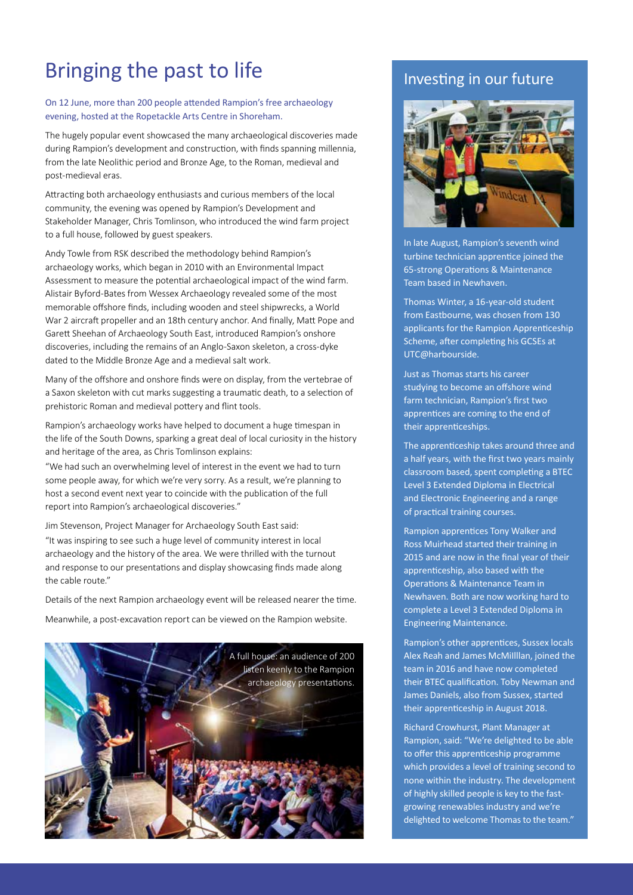# Bringing the past to life

On 12 June, more than 200 people attended Rampion's free archaeology evening, hosted at the Ropetackle Arts Centre in Shoreham.

The hugely popular event showcased the many archaeological discoveries made during Rampion's development and construction, with finds spanning millennia, from the late Neolithic period and Bronze Age, to the Roman, medieval and post-medieval eras.

Attracting both archaeology enthusiasts and curious members of the local community, the evening was opened by Rampion's Development and Stakeholder Manager, Chris Tomlinson, who introduced the wind farm project to a full house, followed by guest speakers.

Andy Towle from RSK described the methodology behind Rampion's archaeology works, which began in 2010 with an Environmental Impact Assessment to measure the potential archaeological impact of the wind farm. Alistair Byford-Bates from Wessex Archaeology revealed some of the most memorable offshore finds, including wooden and steel shipwrecks, a World War 2 aircraft propeller and an 18th century anchor. And finally, Matt Pope and Garett Sheehan of Archaeology South East, introduced Rampion's onshore discoveries, including the remains of an Anglo-Saxon skeleton, a cross-dyke dated to the Middle Bronze Age and a medieval salt work.

Many of the offshore and onshore finds were on display, from the vertebrae of a Saxon skeleton with cut marks suggesting a traumatic death, to a selection of prehistoric Roman and medieval pottery and flint tools.

Rampion's archaeology works have helped to document a huge timespan in the life of the South Downs, sparking a great deal of local curiosity in the history and heritage of the area, as Chris Tomlinson explains:

"We had such an overwhelming level of interest in the event we had to turn some people away, for which we're very sorry. As a result, we're planning to host a second event next year to coincide with the publication of the full report into Rampion's archaeological discoveries."

Jim Stevenson, Project Manager for Archaeology South East said: "It was inspiring to see such a huge level of community interest in local archaeology and the history of the area. We were thrilled with the turnout and response to our presentations and display showcasing finds made along the cable route."

Details of the next Rampion archaeology event will be released nearer the time.

Meanwhile, a post-excavation report can be viewed on the Rampion website.



#### Investing in our future



In late August, Rampion's seventh wind turbine technician apprentice joined the 65-strong Operations & Maintenance Team based in Newhaven.

Thomas Winter, a 16-year-old student from Eastbourne, was chosen from 130 applicants for the Rampion Apprenticeship Scheme, after completing his GCSEs at UTC@harbourside.

Just as Thomas starts his career studying to become an offshore wind farm technician, Rampion's first two apprentices are coming to the end of their apprenticeships.

The apprenticeship takes around three and a half years, with the first two years mainly classroom based, spent completing a BTEC Level 3 Extended Diploma in Electrical and Electronic Engineering and a range of practical training courses.

Rampion apprentices Tony Walker and Ross Muirhead started their training in 2015 and are now in the final year of their apprenticeship, also based with the Operations & Maintenance Team in Newhaven. Both are now working hard to complete a Level 3 Extended Diploma in Engineering Maintenance.

Rampion's other apprentices, Sussex locals Alex Reah and James McMiIlllan, joined the team in 2016 and have now completed their BTEC qualification. Toby Newman and James Daniels, also from Sussex, started their apprenticeship in August 2018.

Richard Crowhurst, Plant Manager at Rampion, said: "We're delighted to be able to offer this apprenticeship programme which provides a level of training second to none within the industry. The development of highly skilled people is key to the fastgrowing renewables industry and we're delighted to welcome Thomas to the team."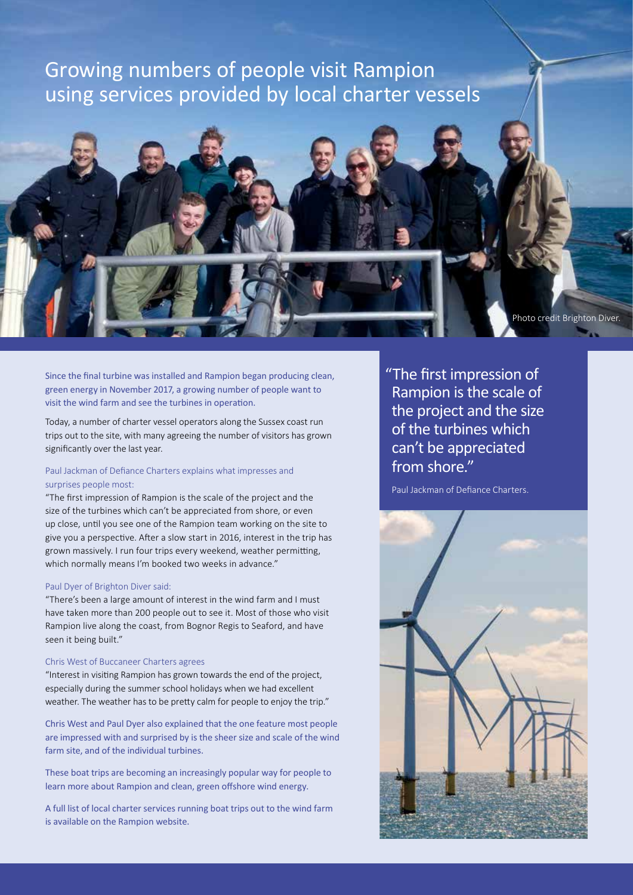# Growing numbers of people visit Rampion using services provided by local charter vessels

Photo credit: Brighton Diver

Since the final turbine was installed and Rampion began producing clean,

Today, a number of charter vessel operators along the Sussex coast run trips out to the site, with many agreeing the number of visitors has grown significantly over the last year.

green energy in November 2017, a growing number of people want to

#### Paul Jackman of Defiance Charters explains what impresses and surprises people most:

visit the wind farm and see the turbines in operation.

"The first impression of Rampion is the scale of the project and the size of the turbines which can't be appreciated from shore, or even up close, until you see one of the Rampion team working on the site to give you a perspective. After a slow start in 2016, interest in the trip has grown massively. I run four trips every weekend, weather permitting, which normally means I'm booked two weeks in advance."

#### Paul Dyer of Brighton Diver said:

"There's been a large amount of interest in the wind farm and I must have taken more than 200 people out to see it. Most of those who visit Rampion live along the coast, from Bognor Regis to Seaford, and have seen it being built."

#### Chris West of Buccaneer Charters agrees

"Interest in visiting Rampion has grown towards the end of the project, especially during the summer school holidays when we had excellent weather. The weather has to be pretty calm for people to enjoy the trip."

Chris West and Paul Dyer also explained that the one feature most people are impressed with and surprised by is the sheer size and scale of the wind farm site, and of the individual turbines.

These boat trips are becoming an increasingly popular way for people to learn more about Rampion and clean, green offshore wind energy.

A full list of local charter services running boat trips out to the wind farm is available on the Rampion website.

"The first impression of Rampion is the scale of the project and the size of the turbines which can't be appreciated from shore."

Photo credit Brighton Diver.

Paul Jackman of Defiance Charters.